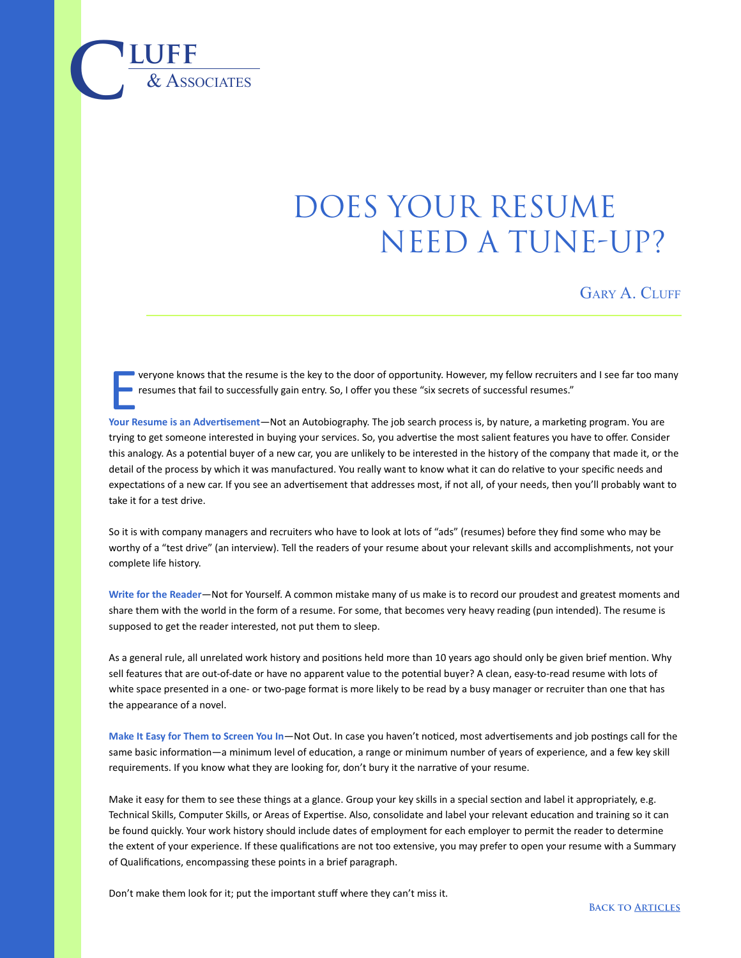## does your resume NEED A TUNE-UP?

GARY A. CLUFF

E veryone knows that the resume is the key to the door of opportunity. However, my fellow recruiters and I see far too many resumes that fail to successfully gain entry. So, I offer you these "six secrets of successful resumes."

**Your Resume is an Advertisement**—Not an Autobiography. The job search process is, by nature, a marketing program. You are trying to get someone interested in buying your services. So, you advertise the most salient features you have to offer. Consider this analogy. As a potential buyer of a new car, you are unlikely to be interested in the history of the company that made it, or the detail of the process by which it was manufactured. You really want to know what it can do relative to your specific needs and expectations of a new car. If you see an advertisement that addresses most, if not all, of your needs, then you'll probably want to take it for a test drive.

So it is with company managers and recruiters who have to look at lots of "ads" (resumes) before they find some who may be worthy of a "test drive" (an interview). Tell the readers of your resume about your relevant skills and accomplishments, not your complete life history.

**Write for the Reader**—Not for Yourself. A common mistake many of us make is to record our proudest and greatest moments and share them with the world in the form of a resume. For some, that becomes very heavy reading (pun intended). The resume is supposed to get the reader interested, not put them to sleep.

As a general rule, all unrelated work history and positions held more than 10 years ago should only be given brief mention. Why sell features that are out-of-date or have no apparent value to the potential buyer? A clean, easy-to-read resume with lots of white space presented in a one- or two-page format is more likely to be read by a busy manager or recruiter than one that has the appearance of a novel.

**Make It Easy for Them to Screen You In**—Not Out. In case you haven't noticed, most advertisements and job postings call for the same basic information—a minimum level of education, a range or minimum number of years of experience, and a few key skill requirements. If you know what they are looking for, don't bury it the narrative of your resume.

Make it easy for them to see these things at a glance. Group your key skills in a special section and label it appropriately, e.g. Technical Skills, Computer Skills, or Areas of Expertise. Also, consolidate and label your relevant education and training so it can be found quickly. Your work history should include dates of employment for each employer to permit the reader to determine the extent of your experience. If these qualifications are not too extensive, you may prefer to open your resume with a Summary of Qualifications, encompassing these points in a brief paragraph.

Don't make them look for it; put the important stuff where they can't miss it.

 $\overline{\text{LUFF}}$  **luff**